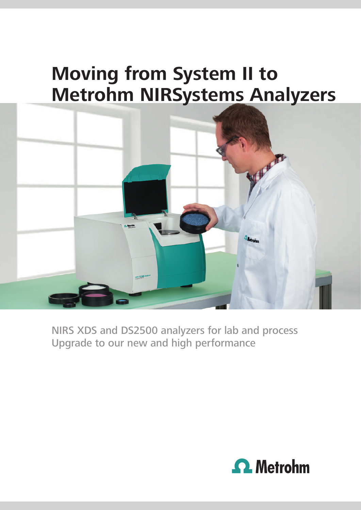# **Moving from System II to Metrohm NIRSystems Analyzers**



NIRS XDS and DS2500 analyzers for lab and process Upgrade to our new and high performance

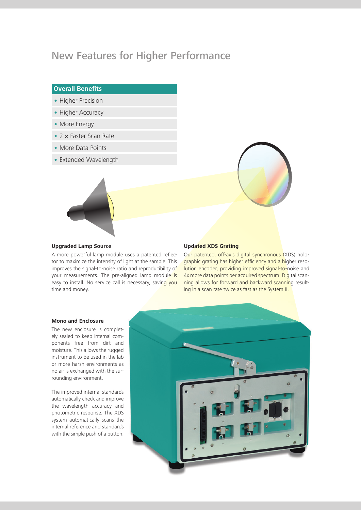## New Features for Higher Performance

### **Overall Benefits**

- Higher Precision
- Higher Accuracy
- More Energy
- 2  $\times$  Faster Scan Rate
- More Data Points
- Extended Wavelength



#### **Upgraded Lamp Source**

A more powerful lamp module uses a patented reflector to maximize the intensity of light at the sample. This improves the signal-to-noise ratio and reproducibility of your measurements. The pre-aligned lamp module is easy to install. No service call is necessary, saving you time and money.

#### **Updated XDS Grating**

Our patented, off-axis digital synchronous (XDS) holographic grating has higher efficiency and a higher resolution encoder, providing improved signal-to-noise and 4x more data points per acquired spectrum. Digital scanning allows for forward and backward scanning resulting in a scan rate twice as fast as the System II.

#### **Mono and Enclosure**

The new enclosure is completely sealed to keep internal components free from dirt and moisture. This allows the rugged instrument to be used in the lab or more harsh environments as no air is exchanged with the surrounding environment.

The improved internal standards automatically check and improve the wavelength accuracy and photometric response. The XDS system automatically scans the internal reference and standards with the simple push of a button.

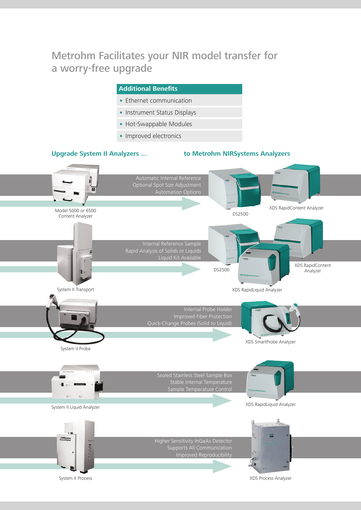## Metrohm Facilitates your NIR model transfer for a worry-free upgrade

|                                                    | <b>Additional Benefits</b>                                                                     |                                                                                                         |
|----------------------------------------------------|------------------------------------------------------------------------------------------------|---------------------------------------------------------------------------------------------------------|
|                                                    | • Ethernet communication                                                                       |                                                                                                         |
|                                                    | • Instrument Status Displays                                                                   |                                                                                                         |
|                                                    | • Hot-Swappable Modules                                                                        |                                                                                                         |
|                                                    | • Improved electronics                                                                         |                                                                                                         |
|                                                    |                                                                                                |                                                                                                         |
| <b>Upgrade System II Analyzers </b>                |                                                                                                | to Metrohm NIRSystems Analyzers                                                                         |
| 111<br>Model 5000 or 6500<br>Content Analyzer      | Automatic Internal Reference<br>Optional Spot Size Adjustment<br><b>Automation Options</b>     | XDS RapidContent Analyzer<br>DS2500                                                                     |
| System II Transport                                | Internal Reference Sample<br>Rapid Analysis of Solids or Liquids<br>Liquid Kit Available       | XDS RapidContent<br>DS2500<br>Analyzer<br><b>ITES XITS Report Found Ame</b><br>XDS RapidLiquid Analyzer |
|                                                    |                                                                                                |                                                                                                         |
| System II Probe                                    | Internal Probe Holder<br>Improved Fiber Protection<br>Quick-Change Probes (Solid to Liquid)    | XDS SmartProbe Analyzer                                                                                 |
| 553<br>C.<br>$\omega$<br>System II Liquid Analyzer | Sealed Stainless Steel Sample Box<br>Stable Internal Temperature<br>Sample Temperature Control | <b>MAN 2211</b><br>XDS RapidLiquid Analyzer                                                             |
| <b>IMRS stern</b><br>System II Process             | Higher Sensitivity InGaAs Detector<br>Supports All Communication<br>Improved Reproducibility   | $\int_{0}^{\infty}$ 32<br>XDS Process Analyzer                                                          |